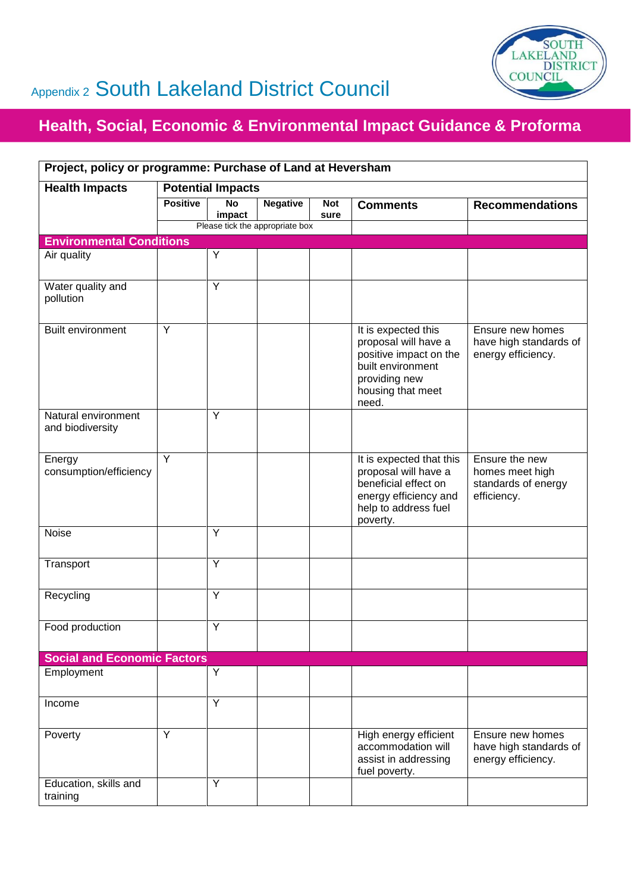

## Appendix 2 South Lakeland District Council

## **Health, Social, Economic & Environmental Impact Guidance & Proforma**

| Project, policy or programme: Purchase of Land at Heversham |                          |                     |                                 |                    |                                                                                                                                           |                                                                         |  |  |  |
|-------------------------------------------------------------|--------------------------|---------------------|---------------------------------|--------------------|-------------------------------------------------------------------------------------------------------------------------------------------|-------------------------------------------------------------------------|--|--|--|
| <b>Health Impacts</b>                                       | <b>Potential Impacts</b> |                     |                                 |                    |                                                                                                                                           |                                                                         |  |  |  |
|                                                             | <b>Positive</b>          | <b>No</b><br>impact | <b>Negative</b>                 | <b>Not</b><br>sure | <b>Comments</b>                                                                                                                           | <b>Recommendations</b>                                                  |  |  |  |
|                                                             |                          |                     | Please tick the appropriate box |                    |                                                                                                                                           |                                                                         |  |  |  |
| <b>Environmental Conditions</b>                             |                          |                     |                                 |                    |                                                                                                                                           |                                                                         |  |  |  |
| Air quality                                                 |                          | Y                   |                                 |                    |                                                                                                                                           |                                                                         |  |  |  |
| Water quality and<br>pollution                              |                          | Y                   |                                 |                    |                                                                                                                                           |                                                                         |  |  |  |
| Built environment                                           | Y                        |                     |                                 |                    | It is expected this<br>proposal will have a<br>positive impact on the<br>built environment<br>providing new<br>housing that meet<br>need. | Ensure new homes<br>have high standards of<br>energy efficiency.        |  |  |  |
| Natural environment<br>and biodiversity                     |                          | Y                   |                                 |                    |                                                                                                                                           |                                                                         |  |  |  |
| Energy<br>consumption/efficiency                            | Y                        |                     |                                 |                    | It is expected that this<br>proposal will have a<br>beneficial effect on<br>energy efficiency and<br>help to address fuel<br>poverty.     | Ensure the new<br>homes meet high<br>standards of energy<br>efficiency. |  |  |  |
| Noise                                                       |                          | Y                   |                                 |                    |                                                                                                                                           |                                                                         |  |  |  |
| Transport                                                   |                          | $\overline{Y}$      |                                 |                    |                                                                                                                                           |                                                                         |  |  |  |
| Recycling                                                   |                          | Y                   |                                 |                    |                                                                                                                                           |                                                                         |  |  |  |
| Food production                                             |                          | Y                   |                                 |                    |                                                                                                                                           |                                                                         |  |  |  |
| <b>Social and Economic Factors</b>                          |                          |                     |                                 |                    |                                                                                                                                           |                                                                         |  |  |  |
| Employment                                                  |                          | Y                   |                                 |                    |                                                                                                                                           |                                                                         |  |  |  |
| Income                                                      |                          | Y                   |                                 |                    |                                                                                                                                           |                                                                         |  |  |  |
| Poverty                                                     | Y                        |                     |                                 |                    | High energy efficient<br>accommodation will<br>assist in addressing<br>fuel poverty.                                                      | Ensure new homes<br>have high standards of<br>energy efficiency.        |  |  |  |
| Education, skills and<br>training                           |                          | Y                   |                                 |                    |                                                                                                                                           |                                                                         |  |  |  |